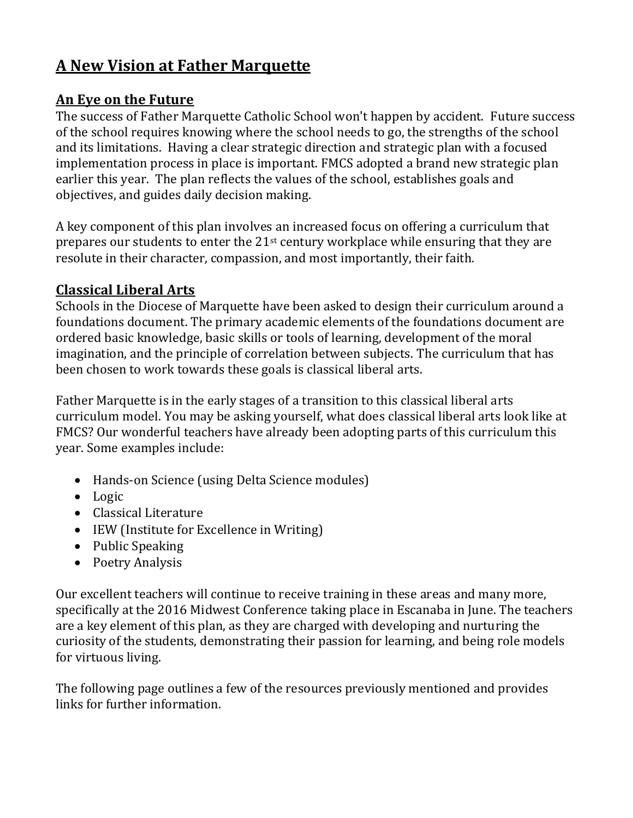# **A New Vision at Father Marquette**

#### **An Eye on the Future**

The success of Father Marquette Catholic School won't happen by accident. Future success of the school requires knowing where the school needs to go, the strengths of the school and its limitations. Having a clear strategic direction and strategic plan with a focused implementation process in place is important. FMCS adopted a brand new strategic plan earlier this year. The plan reflects the values of the school, establishes goals and objectives, and guides daily decision making.

A key component of this plan involves an increased focus on offering a curriculum that prepares our students to enter the 21st century workplace while ensuring that they are resolute in their character, compassion, and most importantly, their faith.

#### **Classical Liberal Arts**

Schools in the Diocese of Marquette have been asked to design their curriculum around a foundations document. The primary academic elements of the foundations document are ordered basic knowledge, basic skills or tools of learning, development of the moral imagination, and the principle of correlation between subjects. The curriculum that has been chosen to work towards these goals is classical liberal arts.

Father Marquette is in the early stages of a transition to this classical liberal arts curriculum model. You may be asking yourself, what does classical liberal arts look like at FMCS? Our wonderful teachers have already been adopting parts of this curriculum this year. Some examples include:

- Hands-on Science (using Delta Science modules)
- Logic
- Classical Literature
- IEW (Institute for Excellence in Writing)
- Public Speaking
- Poetry Analysis

Our excellent teachers will continue to receive training in these areas and many more, specifically at the 2016 Midwest Conference taking place in Escanaba in June. The teachers are a key element of this plan, as they are charged with developing and nurturing the curiosity of the students, demonstrating their passion for learning, and being role models for virtuous living.

The following page outlines a few of the resources previously mentioned and provides links for further information.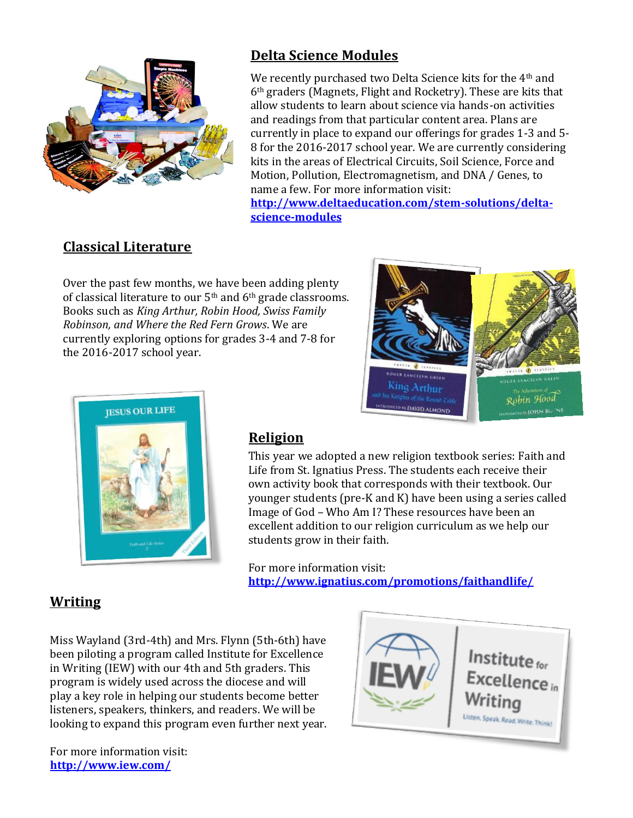

## **Delta Science Modules**

We recently purchased two Delta Science kits for the 4<sup>th</sup> and 6th graders (Magnets, Flight and Rocketry). These are kits that allow students to learn about science via hands-on activities and readings from that particular content area. Plans are currently in place to expand our offerings for grades 1-3 and 5- 8 for the 2016-2017 school year. We are currently considering kits in the areas of Electrical Circuits, Soil Science, Force and Motion, Pollution, Electromagnetism, and DNA / Genes, to name a few. For more information visit:

**[http://www.deltaeducation.com/stem-solutions/delta](http://www.deltaeducation.com/stem-solutions/delta-science-modules)[science-modules](http://www.deltaeducation.com/stem-solutions/delta-science-modules)**

## **Classical Literature**

Over the past few months, we have been adding plenty of classical literature to our  $5<sup>th</sup>$  and  $6<sup>th</sup>$  grade classrooms. Books such as *King Arthur, Robin Hood, Swiss Family Robinson, and Where the Red Fern Grows*. We are currently exploring options for grades 3-4 and 7-8 for the 2016-2017 school year.





#### **Religion**

This year we adopted a new religion textbook series: Faith and Life from St. Ignatius Press. The students each receive their own activity book that corresponds with their textbook. Our younger students (pre-K and K) have been using a series called Image of God – Who Am I? These resources have been an excellent addition to our religion curriculum as we help our students grow in their faith.

For more information visit: **<http://www.ignatius.com/promotions/faithandlife/>**

#### **Writing**

Miss Wayland (3rd-4th) and Mrs. Flynn (5th-6th) have been piloting a program called Institute for Excellence in Writing (IEW) with our 4th and 5th graders. This program is widely used across the diocese and will play a key role in helping our students become better listeners, speakers, thinkers, and readers. We will be looking to expand this program even further next year.

For more information visit: **<http://www.iew.com/>**